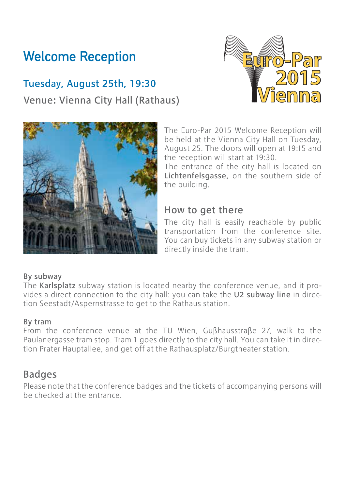# Welcome Reception

## Tuesday, August 25th, 19:30 Venue: Vienna City Hall (Rathaus)





The Euro-Par 2015 Welcome Reception will be held at the Vienna City Hall on Tuesday, August 25. The doors will open at 19:15 and the reception will start at 19:30.

The entrance of the city hall is located on Lichtenfelsgasse, on the southern side of the building.

### How to get there

The city hall is easily reachable by public transportation from the conference site. You can buy tickets in any subway station or directly inside the tram.

#### By subway

The Karlsplatz subway station is located nearby the conference venue, and it provides a direct connection to the city hall: you can take the U2 subway line in direction Seestadt/Aspernstrasse to get to the Rathaus station.

#### By tram

From the conference venue at the TU Wien, Gußhausstraße 27, walk to the Paulanergasse tram stop. Tram 1 goes directly to the city hall. You can take it in direction Prater Hauptallee, and get off at the Rathausplatz/Burgtheater station.

### Badges

Please note that the conference badges and the tickets of accompanying persons will be checked at the entrance.